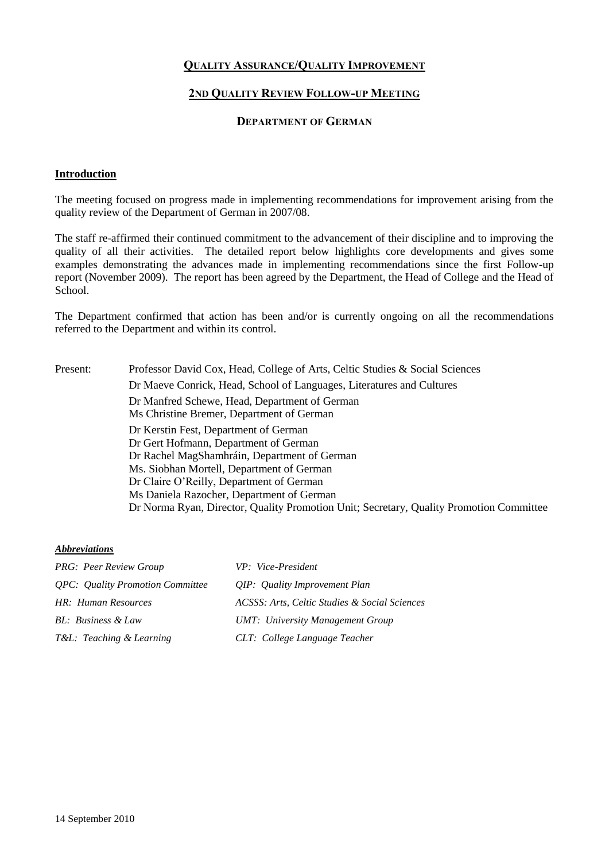# **QUALITY ASSURANCE/QUALITY IMPROVEMENT**

# **2ND QUALITY REVIEW FOLLOW-UP MEETING**

### **DEPARTMENT OF GERMAN**

### **Introduction**

The meeting focused on progress made in implementing recommendations for improvement arising from the quality review of the Department of German in 2007/08.

The staff re-affirmed their continued commitment to the advancement of their discipline and to improving the quality of all their activities. The detailed report below highlights core developments and gives some examples demonstrating the advances made in implementing recommendations since the first Follow-up report (November 2009). The report has been agreed by the Department, the Head of College and the Head of School.

The Department confirmed that action has been and/or is currently ongoing on all the recommendations referred to the Department and within its control.

| Present: | Professor David Cox, Head, College of Arts, Celtic Studies & Social Sciences               |
|----------|--------------------------------------------------------------------------------------------|
|          | Dr Maeve Conrick, Head, School of Languages, Literatures and Cultures                      |
|          | Dr Manfred Schewe, Head, Department of German<br>Ms Christine Bremer, Department of German |
|          | Dr Kerstin Fest, Department of German<br>Dr Gert Hofmann, Department of German             |
|          | Dr Rachel MagShamhráin, Department of German                                               |
|          | Ms. Siobhan Mortell, Department of German                                                  |
|          | Dr Claire O'Reilly, Department of German                                                   |
|          | Ms Daniela Razocher, Department of German                                                  |
|          | Dr Norma Ryan, Director, Quality Promotion Unit; Secretary, Quality Promotion Committee    |
|          |                                                                                            |

#### *Abbreviations*

| <b>PRG:</b> Peer Review Group                  | VP: Vice-President                            |
|------------------------------------------------|-----------------------------------------------|
| <i><b>OPC:</b> Quality Promotion Committee</i> | QIP: Quality Improvement Plan                 |
| HR: Human Resources                            | ACSSS: Arts, Celtic Studies & Social Sciences |
| BL: Business & Law                             | <b>UMT:</b> University Management Group       |
| T&L: Teaching & Learning                       | CLT: College Language Teacher                 |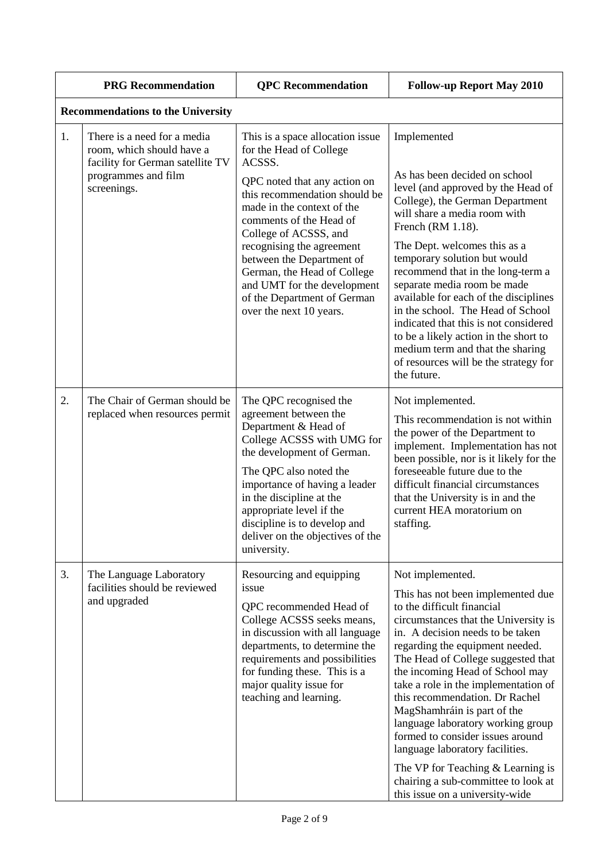|    | <b>PRG</b> Recommendation                                                                                                          | <b>QPC</b> Recommendation                                                                                                                                                                                                                                                                                                                                                                                  | <b>Follow-up Report May 2010</b>                                                                                                                                                                                                                                                                                                                                                                                                                                                                                                                                                                                  |  |
|----|------------------------------------------------------------------------------------------------------------------------------------|------------------------------------------------------------------------------------------------------------------------------------------------------------------------------------------------------------------------------------------------------------------------------------------------------------------------------------------------------------------------------------------------------------|-------------------------------------------------------------------------------------------------------------------------------------------------------------------------------------------------------------------------------------------------------------------------------------------------------------------------------------------------------------------------------------------------------------------------------------------------------------------------------------------------------------------------------------------------------------------------------------------------------------------|--|
|    | <b>Recommendations to the University</b>                                                                                           |                                                                                                                                                                                                                                                                                                                                                                                                            |                                                                                                                                                                                                                                                                                                                                                                                                                                                                                                                                                                                                                   |  |
| 1. | There is a need for a media<br>room, which should have a<br>facility for German satellite TV<br>programmes and film<br>screenings. | This is a space allocation issue<br>for the Head of College<br>ACSSS.<br>QPC noted that any action on<br>this recommendation should be<br>made in the context of the<br>comments of the Head of<br>College of ACSSS, and<br>recognising the agreement<br>between the Department of<br>German, the Head of College<br>and UMT for the development<br>of the Department of German<br>over the next 10 years. | Implemented<br>As has been decided on school<br>level (and approved by the Head of<br>College), the German Department<br>will share a media room with<br>French (RM 1.18).<br>The Dept. welcomes this as a<br>temporary solution but would<br>recommend that in the long-term a<br>separate media room be made<br>available for each of the disciplines<br>in the school. The Head of School<br>indicated that this is not considered<br>to be a likely action in the short to<br>medium term and that the sharing<br>of resources will be the strategy for<br>the future.                                        |  |
| 2. | The Chair of German should be<br>replaced when resources permit                                                                    | The QPC recognised the<br>agreement between the<br>Department & Head of<br>College ACSSS with UMG for<br>the development of German.<br>The QPC also noted the<br>importance of having a leader<br>in the discipline at the<br>appropriate level if the<br>discipline is to develop and<br>deliver on the objectives of the<br>university.                                                                  | Not implemented.<br>This recommendation is not within<br>the power of the Department to<br>implement. Implementation has not<br>been possible, nor is it likely for the<br>foreseeable future due to the<br>difficult financial circumstances<br>that the University is in and the<br>current HEA moratorium on<br>staffing.                                                                                                                                                                                                                                                                                      |  |
| 3. | The Language Laboratory<br>facilities should be reviewed<br>and upgraded                                                           | Resourcing and equipping<br>issue<br>QPC recommended Head of<br>College ACSSS seeks means,<br>in discussion with all language<br>departments, to determine the<br>requirements and possibilities<br>for funding these. This is a<br>major quality issue for<br>teaching and learning.                                                                                                                      | Not implemented.<br>This has not been implemented due<br>to the difficult financial<br>circumstances that the University is<br>in. A decision needs to be taken<br>regarding the equipment needed.<br>The Head of College suggested that<br>the incoming Head of School may<br>take a role in the implementation of<br>this recommendation. Dr Rachel<br>MagShamhráin is part of the<br>language laboratory working group<br>formed to consider issues around<br>language laboratory facilities.<br>The VP for Teaching $&$ Learning is<br>chairing a sub-committee to look at<br>this issue on a university-wide |  |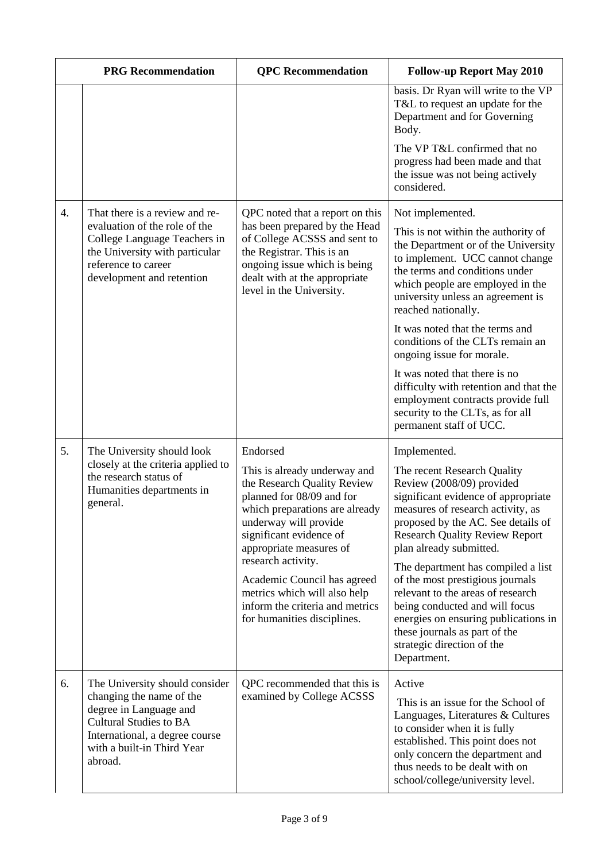|                  | <b>PRG Recommendation</b>                                                                                                                                                                        | <b>OPC</b> Recommendation                                                                                                                                                                                                                                                                                                                                                    | <b>Follow-up Report May 2010</b>                                                                                                                                                                                                                                                                                                                                                                                                                                                                                                                       |
|------------------|--------------------------------------------------------------------------------------------------------------------------------------------------------------------------------------------------|------------------------------------------------------------------------------------------------------------------------------------------------------------------------------------------------------------------------------------------------------------------------------------------------------------------------------------------------------------------------------|--------------------------------------------------------------------------------------------------------------------------------------------------------------------------------------------------------------------------------------------------------------------------------------------------------------------------------------------------------------------------------------------------------------------------------------------------------------------------------------------------------------------------------------------------------|
|                  |                                                                                                                                                                                                  |                                                                                                                                                                                                                                                                                                                                                                              | basis. Dr Ryan will write to the VP<br>T&L to request an update for the<br>Department and for Governing<br>Body.                                                                                                                                                                                                                                                                                                                                                                                                                                       |
|                  |                                                                                                                                                                                                  |                                                                                                                                                                                                                                                                                                                                                                              | The VP T&L confirmed that no<br>progress had been made and that<br>the issue was not being actively<br>considered.                                                                                                                                                                                                                                                                                                                                                                                                                                     |
| $\overline{4}$ . | That there is a review and re-<br>evaluation of the role of the<br>College Language Teachers in<br>the University with particular<br>reference to career<br>development and retention            | QPC noted that a report on this<br>has been prepared by the Head<br>of College ACSSS and sent to<br>the Registrar. This is an<br>ongoing issue which is being<br>dealt with at the appropriate<br>level in the University.                                                                                                                                                   | Not implemented.<br>This is not within the authority of<br>the Department or of the University<br>to implement. UCC cannot change<br>the terms and conditions under<br>which people are employed in the<br>university unless an agreement is<br>reached nationally.<br>It was noted that the terms and<br>conditions of the CLTs remain an<br>ongoing issue for morale.<br>It was noted that there is no<br>difficulty with retention and that the<br>employment contracts provide full<br>security to the CLTs, as for all<br>permanent staff of UCC. |
| 5.               | The University should look<br>closely at the criteria applied to<br>the research status of<br>Humanities departments in<br>general.                                                              | Endorsed<br>This is already underway and<br>the Research Quality Review<br>planned for 08/09 and for<br>which preparations are already<br>underway will provide<br>significant evidence of<br>appropriate measures of<br>research activity.<br>Academic Council has agreed<br>metrics which will also help<br>inform the criteria and metrics<br>for humanities disciplines. | Implemented.<br>The recent Research Quality<br>Review (2008/09) provided<br>significant evidence of appropriate<br>measures of research activity, as<br>proposed by the AC. See details of<br><b>Research Quality Review Report</b><br>plan already submitted.<br>The department has compiled a list<br>of the most prestigious journals<br>relevant to the areas of research<br>being conducted and will focus<br>energies on ensuring publications in<br>these journals as part of the<br>strategic direction of the<br>Department.                  |
| 6.               | The University should consider<br>changing the name of the<br>degree in Language and<br><b>Cultural Studies to BA</b><br>International, a degree course<br>with a built-in Third Year<br>abroad. | QPC recommended that this is<br>examined by College ACSSS                                                                                                                                                                                                                                                                                                                    | Active<br>This is an issue for the School of<br>Languages, Literatures & Cultures<br>to consider when it is fully<br>established. This point does not<br>only concern the department and<br>thus needs to be dealt with on<br>school/college/university level.                                                                                                                                                                                                                                                                                         |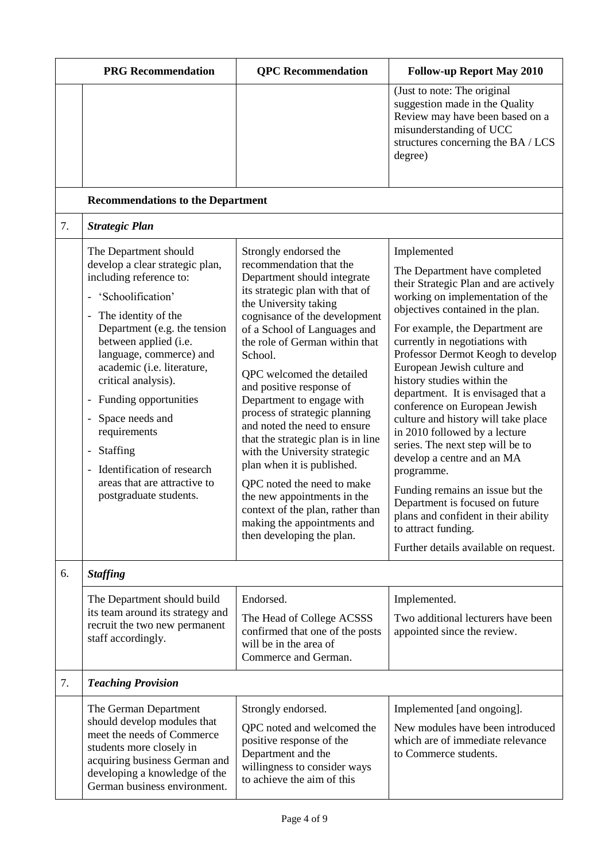|    | <b>PRG</b> Recommendation                                                                                                                                                                                                                                                                                                                                                                                                                                                                                                                                                            | <b>QPC</b> Recommendation                                                                                                                                                                                                                                                                                                                                                                                                                                                                                                                                                                                                                                                          | <b>Follow-up Report May 2010</b>                                                                                                                                                                                                                                                                                                                                                                                                                                                                                                                                                                                                                                                                                                                    |
|----|--------------------------------------------------------------------------------------------------------------------------------------------------------------------------------------------------------------------------------------------------------------------------------------------------------------------------------------------------------------------------------------------------------------------------------------------------------------------------------------------------------------------------------------------------------------------------------------|------------------------------------------------------------------------------------------------------------------------------------------------------------------------------------------------------------------------------------------------------------------------------------------------------------------------------------------------------------------------------------------------------------------------------------------------------------------------------------------------------------------------------------------------------------------------------------------------------------------------------------------------------------------------------------|-----------------------------------------------------------------------------------------------------------------------------------------------------------------------------------------------------------------------------------------------------------------------------------------------------------------------------------------------------------------------------------------------------------------------------------------------------------------------------------------------------------------------------------------------------------------------------------------------------------------------------------------------------------------------------------------------------------------------------------------------------|
|    |                                                                                                                                                                                                                                                                                                                                                                                                                                                                                                                                                                                      |                                                                                                                                                                                                                                                                                                                                                                                                                                                                                                                                                                                                                                                                                    | (Just to note: The original<br>suggestion made in the Quality<br>Review may have been based on a<br>misunderstanding of UCC<br>structures concerning the BA / LCS<br>degree)                                                                                                                                                                                                                                                                                                                                                                                                                                                                                                                                                                        |
|    | <b>Recommendations to the Department</b>                                                                                                                                                                                                                                                                                                                                                                                                                                                                                                                                             |                                                                                                                                                                                                                                                                                                                                                                                                                                                                                                                                                                                                                                                                                    |                                                                                                                                                                                                                                                                                                                                                                                                                                                                                                                                                                                                                                                                                                                                                     |
| 7. | <b>Strategic Plan</b>                                                                                                                                                                                                                                                                                                                                                                                                                                                                                                                                                                |                                                                                                                                                                                                                                                                                                                                                                                                                                                                                                                                                                                                                                                                                    |                                                                                                                                                                                                                                                                                                                                                                                                                                                                                                                                                                                                                                                                                                                                                     |
|    | The Department should<br>develop a clear strategic plan,<br>including reference to:<br>'Schoolification'<br>The identity of the<br>$\overline{\phantom{a}}$<br>Department (e.g. the tension<br>between applied (i.e.<br>language, commerce) and<br>academic (i.e. literature,<br>critical analysis).<br>Funding opportunities<br>$\overline{\phantom{a}}$<br>Space needs and<br>$\overline{\phantom{a}}$<br>requirements<br>Staffing<br>$\overline{\phantom{a}}$<br>Identification of research<br>$\overline{\phantom{a}}$<br>areas that are attractive to<br>postgraduate students. | Strongly endorsed the<br>recommendation that the<br>Department should integrate<br>its strategic plan with that of<br>the University taking<br>cognisance of the development<br>of a School of Languages and<br>the role of German within that<br>School.<br>QPC welcomed the detailed<br>and positive response of<br>Department to engage with<br>process of strategic planning<br>and noted the need to ensure<br>that the strategic plan is in line<br>with the University strategic<br>plan when it is published.<br>QPC noted the need to make<br>the new appointments in the<br>context of the plan, rather than<br>making the appointments and<br>then developing the plan. | Implemented<br>The Department have completed<br>their Strategic Plan and are actively<br>working on implementation of the<br>objectives contained in the plan.<br>For example, the Department are<br>currently in negotiations with<br>Professor Dermot Keogh to develop<br>European Jewish culture and<br>history studies within the<br>department. It is envisaged that a<br>conference on European Jewish<br>culture and history will take place<br>in 2010 followed by a lecture<br>series. The next step will be to<br>develop a centre and an MA<br>programme.<br>Funding remains an issue but the<br>Department is focused on future<br>plans and confident in their ability<br>to attract funding.<br>Further details available on request. |
| 6. | <b>Staffing</b>                                                                                                                                                                                                                                                                                                                                                                                                                                                                                                                                                                      |                                                                                                                                                                                                                                                                                                                                                                                                                                                                                                                                                                                                                                                                                    |                                                                                                                                                                                                                                                                                                                                                                                                                                                                                                                                                                                                                                                                                                                                                     |
|    | The Department should build<br>its team around its strategy and<br>recruit the two new permanent<br>staff accordingly.                                                                                                                                                                                                                                                                                                                                                                                                                                                               | Endorsed.<br>The Head of College ACSSS<br>confirmed that one of the posts<br>will be in the area of<br>Commerce and German.                                                                                                                                                                                                                                                                                                                                                                                                                                                                                                                                                        | Implemented.<br>Two additional lecturers have been<br>appointed since the review.                                                                                                                                                                                                                                                                                                                                                                                                                                                                                                                                                                                                                                                                   |
| 7. | <b>Teaching Provision</b>                                                                                                                                                                                                                                                                                                                                                                                                                                                                                                                                                            |                                                                                                                                                                                                                                                                                                                                                                                                                                                                                                                                                                                                                                                                                    |                                                                                                                                                                                                                                                                                                                                                                                                                                                                                                                                                                                                                                                                                                                                                     |
|    | The German Department<br>should develop modules that<br>meet the needs of Commerce<br>students more closely in<br>acquiring business German and<br>developing a knowledge of the<br>German business environment.                                                                                                                                                                                                                                                                                                                                                                     | Strongly endorsed.<br>QPC noted and welcomed the<br>positive response of the<br>Department and the<br>willingness to consider ways<br>to achieve the aim of this                                                                                                                                                                                                                                                                                                                                                                                                                                                                                                                   | Implemented [and ongoing].<br>New modules have been introduced<br>which are of immediate relevance<br>to Commerce students.                                                                                                                                                                                                                                                                                                                                                                                                                                                                                                                                                                                                                         |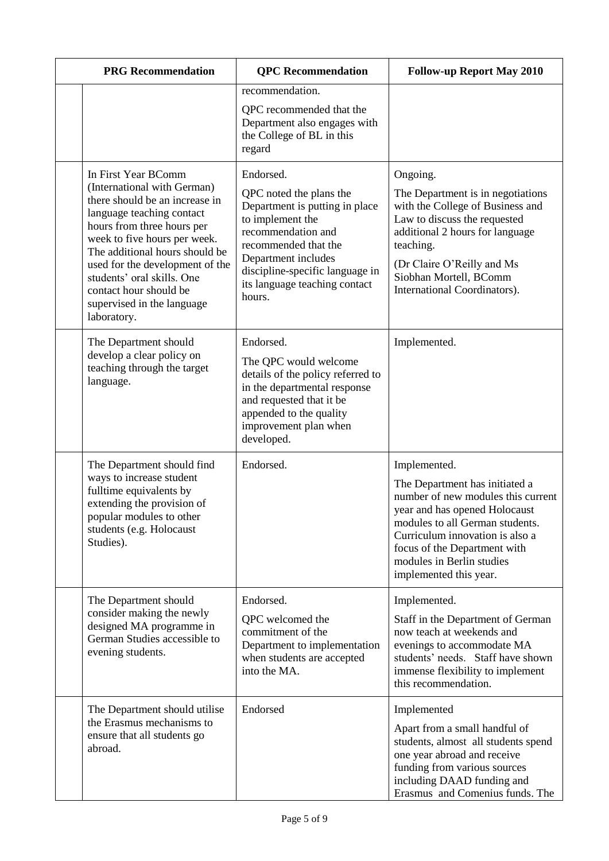| <b>PRG</b> Recommendation                                                                                                                                                                                                                                                                                                                                 | <b>QPC</b> Recommendation                                                                                                                                                                                                                     | <b>Follow-up Report May 2010</b>                                                                                                                                                                                                                                                   |
|-----------------------------------------------------------------------------------------------------------------------------------------------------------------------------------------------------------------------------------------------------------------------------------------------------------------------------------------------------------|-----------------------------------------------------------------------------------------------------------------------------------------------------------------------------------------------------------------------------------------------|------------------------------------------------------------------------------------------------------------------------------------------------------------------------------------------------------------------------------------------------------------------------------------|
|                                                                                                                                                                                                                                                                                                                                                           | recommendation.<br>QPC recommended that the<br>Department also engages with<br>the College of BL in this<br>regard                                                                                                                            |                                                                                                                                                                                                                                                                                    |
| In First Year BComm<br>(International with German)<br>there should be an increase in<br>language teaching contact<br>hours from three hours per<br>week to five hours per week.<br>The additional hours should be<br>used for the development of the<br>students' oral skills. One<br>contact hour should be<br>supervised in the language<br>laboratory. | Endorsed.<br>QPC noted the plans the<br>Department is putting in place<br>to implement the<br>recommendation and<br>recommended that the<br>Department includes<br>discipline-specific language in<br>its language teaching contact<br>hours. | Ongoing.<br>The Department is in negotiations<br>with the College of Business and<br>Law to discuss the requested<br>additional 2 hours for language<br>teaching.<br>(Dr Claire O'Reilly and Ms<br>Siobhan Mortell, BComm<br>International Coordinators).                          |
| The Department should<br>develop a clear policy on<br>teaching through the target<br>language.                                                                                                                                                                                                                                                            | Endorsed.<br>The QPC would welcome<br>details of the policy referred to<br>in the departmental response<br>and requested that it be<br>appended to the quality<br>improvement plan when<br>developed.                                         | Implemented.                                                                                                                                                                                                                                                                       |
| The Department should find<br>ways to increase student<br>fulltime equivalents by<br>extending the provision of<br>popular modules to other<br>students (e.g. Holocaust<br>Studies).                                                                                                                                                                      | Endorsed.                                                                                                                                                                                                                                     | Implemented.<br>The Department has initiated a<br>number of new modules this current<br>year and has opened Holocaust<br>modules to all German students.<br>Curriculum innovation is also a<br>focus of the Department with<br>modules in Berlin studies<br>implemented this year. |
| The Department should<br>consider making the newly<br>designed MA programme in<br>German Studies accessible to<br>evening students.                                                                                                                                                                                                                       | Endorsed.<br>QPC welcomed the<br>commitment of the<br>Department to implementation<br>when students are accepted<br>into the MA.                                                                                                              | Implemented.<br>Staff in the Department of German<br>now teach at weekends and<br>evenings to accommodate MA<br>students' needs. Staff have shown<br>immense flexibility to implement<br>this recommendation.                                                                      |
| The Department should utilise<br>the Erasmus mechanisms to<br>ensure that all students go<br>abroad.                                                                                                                                                                                                                                                      | Endorsed                                                                                                                                                                                                                                      | Implemented<br>Apart from a small handful of<br>students, almost all students spend<br>one year abroad and receive<br>funding from various sources<br>including DAAD funding and<br>Erasmus and Comenius funds. The                                                                |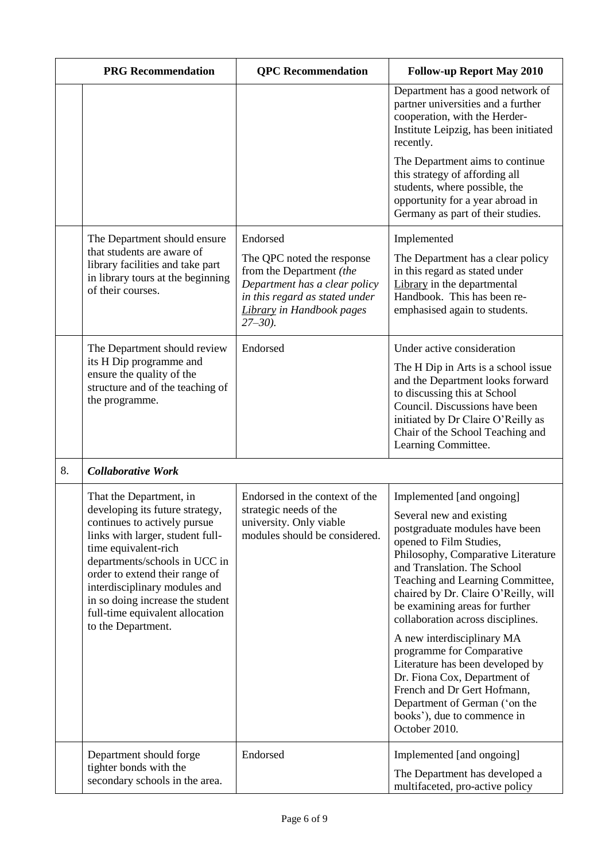|    | <b>PRG</b> Recommendation                                                                                                                                                                                                                                                                                                    | <b>QPC</b> Recommendation                                                                                                                                              | <b>Follow-up Report May 2010</b>                                                                                                                                                                                                                                                                              |
|----|------------------------------------------------------------------------------------------------------------------------------------------------------------------------------------------------------------------------------------------------------------------------------------------------------------------------------|------------------------------------------------------------------------------------------------------------------------------------------------------------------------|---------------------------------------------------------------------------------------------------------------------------------------------------------------------------------------------------------------------------------------------------------------------------------------------------------------|
|    |                                                                                                                                                                                                                                                                                                                              |                                                                                                                                                                        | Department has a good network of<br>partner universities and a further<br>cooperation, with the Herder-<br>Institute Leipzig, has been initiated<br>recently.                                                                                                                                                 |
|    |                                                                                                                                                                                                                                                                                                                              |                                                                                                                                                                        | The Department aims to continue<br>this strategy of affording all<br>students, where possible, the<br>opportunity for a year abroad in<br>Germany as part of their studies.                                                                                                                                   |
|    | The Department should ensure                                                                                                                                                                                                                                                                                                 | Endorsed                                                                                                                                                               | Implemented                                                                                                                                                                                                                                                                                                   |
|    | that students are aware of<br>library facilities and take part<br>in library tours at the beginning<br>of their courses.                                                                                                                                                                                                     | The QPC noted the response<br>from the Department (the<br>Department has a clear policy<br>in this regard as stated under<br>Library in Handbook pages<br>$27 - 30$ ). | The Department has a clear policy<br>in this regard as stated under<br>Library in the departmental<br>Handbook. This has been re-<br>emphasised again to students.                                                                                                                                            |
|    | The Department should review                                                                                                                                                                                                                                                                                                 | Endorsed                                                                                                                                                               | Under active consideration                                                                                                                                                                                                                                                                                    |
|    | its H Dip programme and<br>ensure the quality of the<br>structure and of the teaching of<br>the programme.                                                                                                                                                                                                                   |                                                                                                                                                                        | The H Dip in Arts is a school issue<br>and the Department looks forward<br>to discussing this at School<br>Council. Discussions have been<br>initiated by Dr Claire O'Reilly as<br>Chair of the School Teaching and<br>Learning Committee.                                                                    |
| 8. | <b>Collaborative Work</b>                                                                                                                                                                                                                                                                                                    |                                                                                                                                                                        |                                                                                                                                                                                                                                                                                                               |
|    | That the Department, in                                                                                                                                                                                                                                                                                                      | Endorsed in the context of the                                                                                                                                         | Implemented [and ongoing]                                                                                                                                                                                                                                                                                     |
|    | developing its future strategy,<br>continues to actively pursue<br>links with larger, student full-<br>time equivalent-rich<br>departments/schools in UCC in<br>order to extend their range of<br>interdisciplinary modules and<br>in so doing increase the student<br>full-time equivalent allocation<br>to the Department. | strategic needs of the<br>university. Only viable<br>modules should be considered.                                                                                     | Several new and existing<br>postgraduate modules have been<br>opened to Film Studies,<br>Philosophy, Comparative Literature<br>and Translation. The School<br>Teaching and Learning Committee,<br>chaired by Dr. Claire O'Reilly, will<br>be examining areas for further<br>collaboration across disciplines. |
|    |                                                                                                                                                                                                                                                                                                                              |                                                                                                                                                                        | A new interdisciplinary MA<br>programme for Comparative<br>Literature has been developed by<br>Dr. Fiona Cox, Department of<br>French and Dr Gert Hofmann,<br>Department of German ('on the<br>books'), due to commence in<br>October 2010.                                                                   |
|    | Department should forge<br>tighter bonds with the                                                                                                                                                                                                                                                                            | Endorsed                                                                                                                                                               | Implemented [and ongoing]<br>The Department has developed a                                                                                                                                                                                                                                                   |
|    | secondary schools in the area.                                                                                                                                                                                                                                                                                               |                                                                                                                                                                        | multifaceted, pro-active policy                                                                                                                                                                                                                                                                               |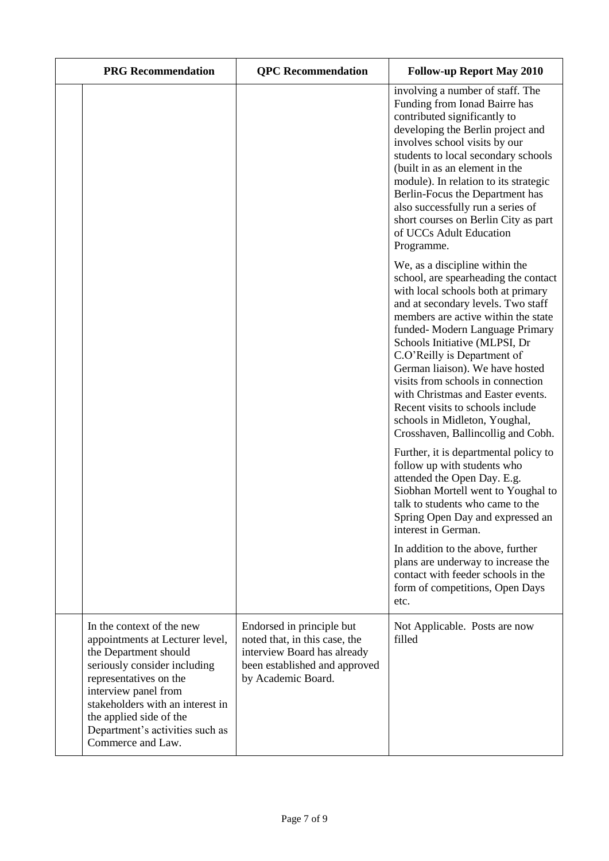| <b>PRG</b> Recommendation                                                                                                                                                                                                                                                                      | <b>QPC</b> Recommendation                                                                                                                        | <b>Follow-up Report May 2010</b>                                                                                                                                                                                                                                                                                                                                                                                                                                                                                    |
|------------------------------------------------------------------------------------------------------------------------------------------------------------------------------------------------------------------------------------------------------------------------------------------------|--------------------------------------------------------------------------------------------------------------------------------------------------|---------------------------------------------------------------------------------------------------------------------------------------------------------------------------------------------------------------------------------------------------------------------------------------------------------------------------------------------------------------------------------------------------------------------------------------------------------------------------------------------------------------------|
|                                                                                                                                                                                                                                                                                                |                                                                                                                                                  | involving a number of staff. The<br>Funding from Ionad Bairre has<br>contributed significantly to<br>developing the Berlin project and<br>involves school visits by our<br>students to local secondary schools<br>(built in as an element in the<br>module). In relation to its strategic<br>Berlin-Focus the Department has<br>also successfully run a series of<br>short courses on Berlin City as part<br>of UCCs Adult Education<br>Programme.                                                                  |
|                                                                                                                                                                                                                                                                                                |                                                                                                                                                  | We, as a discipline within the<br>school, are spearheading the contact<br>with local schools both at primary<br>and at secondary levels. Two staff<br>members are active within the state<br>funded-Modern Language Primary<br>Schools Initiative (MLPSI, Dr<br>C.O'Reilly is Department of<br>German liaison). We have hosted<br>visits from schools in connection<br>with Christmas and Easter events.<br>Recent visits to schools include<br>schools in Midleton, Youghal,<br>Crosshaven, Ballincollig and Cobh. |
|                                                                                                                                                                                                                                                                                                |                                                                                                                                                  | Further, it is departmental policy to<br>follow up with students who<br>attended the Open Day. E.g.<br>Siobhan Mortell went to Youghal to<br>talk to students who came to the<br>Spring Open Day and expressed an<br>interest in German.<br>In addition to the above, further<br>plans are underway to increase the<br>contact with feeder schools in the<br>form of competitions, Open Days<br>etc.                                                                                                                |
| In the context of the new<br>appointments at Lecturer level,<br>the Department should<br>seriously consider including<br>representatives on the<br>interview panel from<br>stakeholders with an interest in<br>the applied side of the<br>Department's activities such as<br>Commerce and Law. | Endorsed in principle but<br>noted that, in this case, the<br>interview Board has already<br>been established and approved<br>by Academic Board. | Not Applicable. Posts are now<br>filled                                                                                                                                                                                                                                                                                                                                                                                                                                                                             |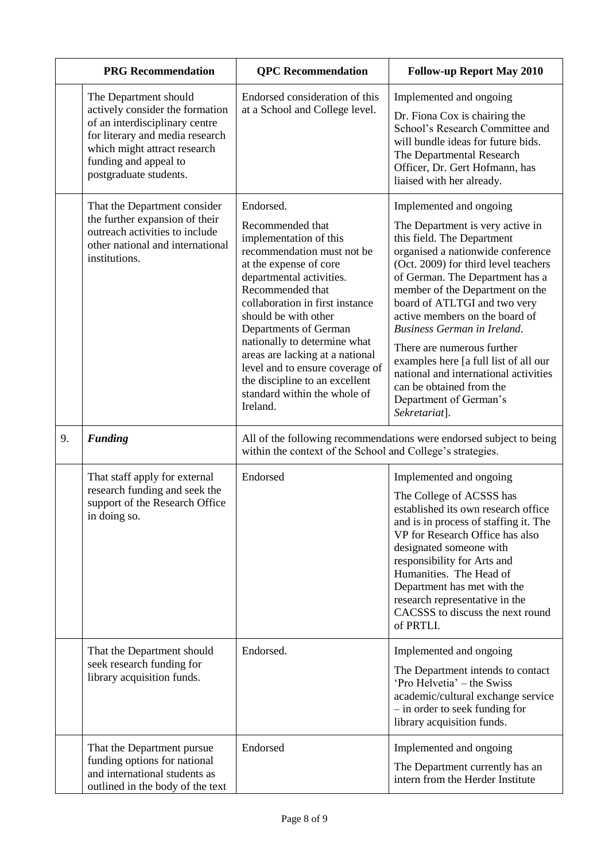|    | <b>PRG</b> Recommendation                                                                                                                                                                                        | <b>QPC</b> Recommendation                                                                                                                                                                                                                                                                                                                                                                                                               | <b>Follow-up Report May 2010</b>                                                                                                                                                                                                                                                                                                                                                                                                                                                                                                            |
|----|------------------------------------------------------------------------------------------------------------------------------------------------------------------------------------------------------------------|-----------------------------------------------------------------------------------------------------------------------------------------------------------------------------------------------------------------------------------------------------------------------------------------------------------------------------------------------------------------------------------------------------------------------------------------|---------------------------------------------------------------------------------------------------------------------------------------------------------------------------------------------------------------------------------------------------------------------------------------------------------------------------------------------------------------------------------------------------------------------------------------------------------------------------------------------------------------------------------------------|
|    | The Department should<br>actively consider the formation<br>of an interdisciplinary centre<br>for literary and media research<br>which might attract research<br>funding and appeal to<br>postgraduate students. | Endorsed consideration of this<br>at a School and College level.                                                                                                                                                                                                                                                                                                                                                                        | Implemented and ongoing<br>Dr. Fiona Cox is chairing the<br>School's Research Committee and<br>will bundle ideas for future bids.<br>The Departmental Research<br>Officer, Dr. Gert Hofmann, has<br>liaised with her already.                                                                                                                                                                                                                                                                                                               |
|    | That the Department consider<br>the further expansion of their<br>outreach activities to include<br>other national and international<br>institutions.                                                            | Endorsed.<br>Recommended that<br>implementation of this<br>recommendation must not be<br>at the expense of core<br>departmental activities.<br>Recommended that<br>collaboration in first instance<br>should be with other<br>Departments of German<br>nationally to determine what<br>areas are lacking at a national<br>level and to ensure coverage of<br>the discipline to an excellent<br>standard within the whole of<br>Ireland. | Implemented and ongoing<br>The Department is very active in<br>this field. The Department<br>organised a nationwide conference<br>(Oct. 2009) for third level teachers<br>of German. The Department has a<br>member of the Department on the<br>board of ATLTGI and two very<br>active members on the board of<br><b>Business German in Ireland.</b><br>There are numerous further<br>examples here [a full list of all our<br>national and international activities<br>can be obtained from the<br>Department of German's<br>Sekretariat]. |
| 9. | <b>Funding</b>                                                                                                                                                                                                   | within the context of the School and College's strategies.                                                                                                                                                                                                                                                                                                                                                                              | All of the following recommendations were endorsed subject to being                                                                                                                                                                                                                                                                                                                                                                                                                                                                         |
|    | That staff apply for external<br>research funding and seek the<br>support of the Research Office<br>in doing so.                                                                                                 | Endorsed                                                                                                                                                                                                                                                                                                                                                                                                                                | Implemented and ongoing<br>The College of ACSSS has<br>established its own research office<br>and is in process of staffing it. The<br>VP for Research Office has also<br>designated someone with<br>responsibility for Arts and<br>Humanities. The Head of<br>Department has met with the<br>research representative in the<br>CACSSS to discuss the next round<br>of PRTLI.                                                                                                                                                               |
|    | That the Department should<br>seek research funding for<br>library acquisition funds.                                                                                                                            | Endorsed.                                                                                                                                                                                                                                                                                                                                                                                                                               | Implemented and ongoing<br>The Department intends to contact<br>'Pro Helvetia' – the Swiss<br>academic/cultural exchange service<br>- in order to seek funding for<br>library acquisition funds.                                                                                                                                                                                                                                                                                                                                            |
|    | That the Department pursue<br>funding options for national<br>and international students as<br>outlined in the body of the text                                                                                  | Endorsed                                                                                                                                                                                                                                                                                                                                                                                                                                | Implemented and ongoing<br>The Department currently has an<br>intern from the Herder Institute                                                                                                                                                                                                                                                                                                                                                                                                                                              |